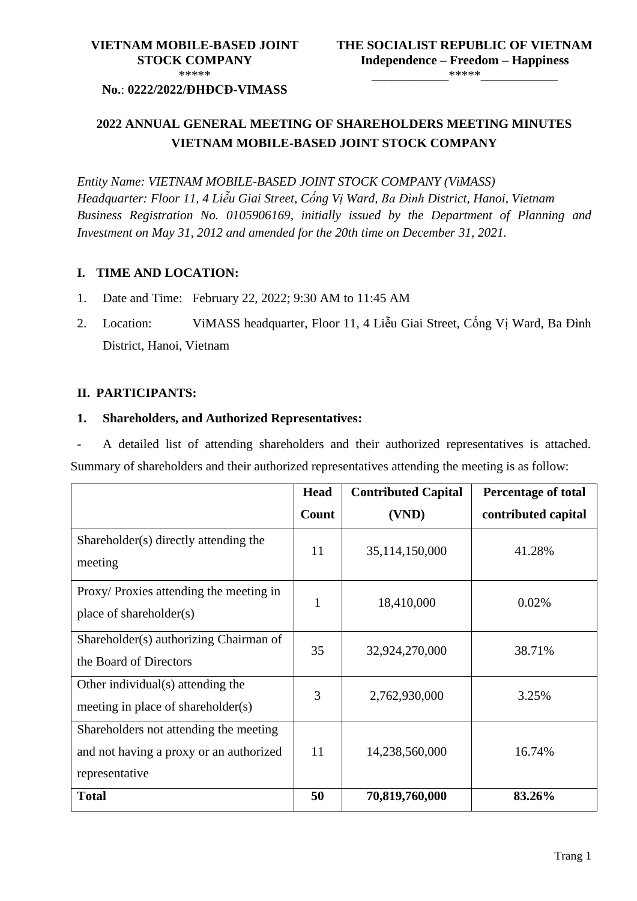#### **No.**: **0222/2022/ĐHĐCĐ-VIMASS**

## **2022 ANNUAL GENERAL MEETING OF SHAREHOLDERS MEETING MINUTES VIETNAM MOBILE-BASED JOINT STOCK COMPANY**

*Entity Name: VIETNAM MOBILE-BASED JOINT STOCK COMPANY (ViMASS) Headquarter: Floor 11, 4 Liễu Giai Street, Cống Vị Ward, Ba Đình District, Hanoi, Vietnam Business Registration No. 0105906169, initially issued by the Department of Planning and Investment on May 31, 2012 and amended for the 20th time on December 31, 2021.*

#### **I. TIME AND LOCATION:**

- 1. Date and Time: February 22, 2022; 9:30 AM to 11:45 AM
- 2. Location: ViMASS headquarter, Floor 11, 4 Liễu Giai Street, Cống Vị Ward, Ba Đình District, Hanoi, Vietnam

#### **II. PARTICIPANTS:**

#### **1. Shareholders, and Authorized Representatives:**

A detailed list of attending shareholders and their authorized representatives is attached. Summary of shareholders and their authorized representatives attending the meeting is as follow:

|                                                                                                     | <b>Head</b>  | <b>Contributed Capital</b> | <b>Percentage of total</b> |
|-----------------------------------------------------------------------------------------------------|--------------|----------------------------|----------------------------|
|                                                                                                     | Count        | (VND)                      | contributed capital        |
| Shareholder(s) directly attending the<br>meeting                                                    | 11           | 35,114,150,000             | 41.28%                     |
| Proxy/Proxies attending the meeting in<br>place of shareholder(s)                                   | $\mathbf{1}$ | 18,410,000                 | 0.02%                      |
| Shareholder(s) authorizing Chairman of<br>the Board of Directors                                    | 35           | 32,924,270,000             | 38.71%                     |
| Other individual(s) attending the<br>meeting in place of shareholder(s)                             | 3            | 2,762,930,000              | 3.25%                      |
| Shareholders not attending the meeting<br>and not having a proxy or an authorized<br>representative | 11           | 14,238,560,000             | 16.74%                     |
| <b>Total</b>                                                                                        | 50           | 70,819,760,000             | 83.26%                     |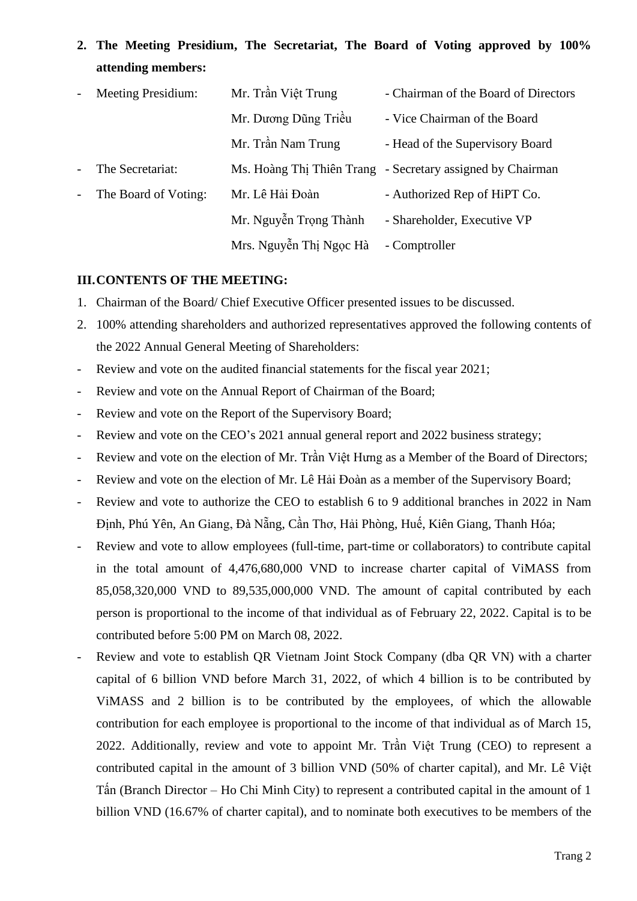# **2. The Meeting Presidium, The Secretariat, The Board of Voting approved by 100% attending members:**

| $\blacksquare$                  | <b>Meeting Presidium:</b> | Mr. Trần Việt Trung     | - Chairman of the Board of Directors                       |
|---------------------------------|---------------------------|-------------------------|------------------------------------------------------------|
|                                 |                           | Mr. Dương Dũng Triều    | - Vice Chairman of the Board                               |
|                                 |                           | Mr. Trần Nam Trung      | - Head of the Supervisory Board                            |
| $\omega_{\rm{eff}}$             | The Secretariat:          |                         | Ms. Hoàng Thị Thiên Trang - Secretary assigned by Chairman |
| $\frac{1}{2}$ and $\frac{1}{2}$ | The Board of Voting:      | Mr. Lê Hải Đoàn         | - Authorized Rep of HiPT Co.                               |
|                                 |                           | Mr. Nguyễn Trọng Thành  | - Shareholder, Executive VP                                |
|                                 |                           | Mrs. Nguyễn Thị Ngọc Hà | - Comptroller                                              |

#### **III.CONTENTS OF THE MEETING:**

- 1. Chairman of the Board/ Chief Executive Officer presented issues to be discussed.
- 2. 100% attending shareholders and authorized representatives approved the following contents of the 2022 Annual General Meeting of Shareholders:
- Review and vote on the audited financial statements for the fiscal year 2021;
- Review and vote on the Annual Report of Chairman of the Board;
- Review and vote on the Report of the Supervisory Board;
- Review and vote on the CEO's 2021 annual general report and 2022 business strategy;
- Review and vote on the election of Mr. Trần Việt Hưng as a Member of the Board of Directors;
- Review and vote on the election of Mr. Lê Hải Đoàn as a member of the Supervisory Board;
- Review and vote to authorize the CEO to establish 6 to 9 additional branches in 2022 in Nam Định, Phú Yên, An Giang, Đà Nẵng, Cần Thơ, Hải Phòng, Huế, Kiên Giang, Thanh Hóa;
- Review and vote to allow employees (full-time, part-time or collaborators) to contribute capital in the total amount of 4,476,680,000 VND to increase charter capital of ViMASS from 85,058,320,000 VND to 89,535,000,000 VND. The amount of capital contributed by each person is proportional to the income of that individual as of February 22, 2022. Capital is to be contributed before 5:00 PM on March 08, 2022.
- Review and vote to establish QR Vietnam Joint Stock Company (dba QR VN) with a charter capital of 6 billion VND before March 31, 2022, of which 4 billion is to be contributed by ViMASS and 2 billion is to be contributed by the employees, of which the allowable contribution for each employee is proportional to the income of that individual as of March 15, 2022. Additionally, review and vote to appoint Mr. Trần Việt Trung (CEO) to represent a contributed capital in the amount of 3 billion VND (50% of charter capital), and Mr. Lê Việt Tấn (Branch Director – Ho Chi Minh City) to represent a contributed capital in the amount of 1 billion VND (16.67% of charter capital), and to nominate both executives to be members of the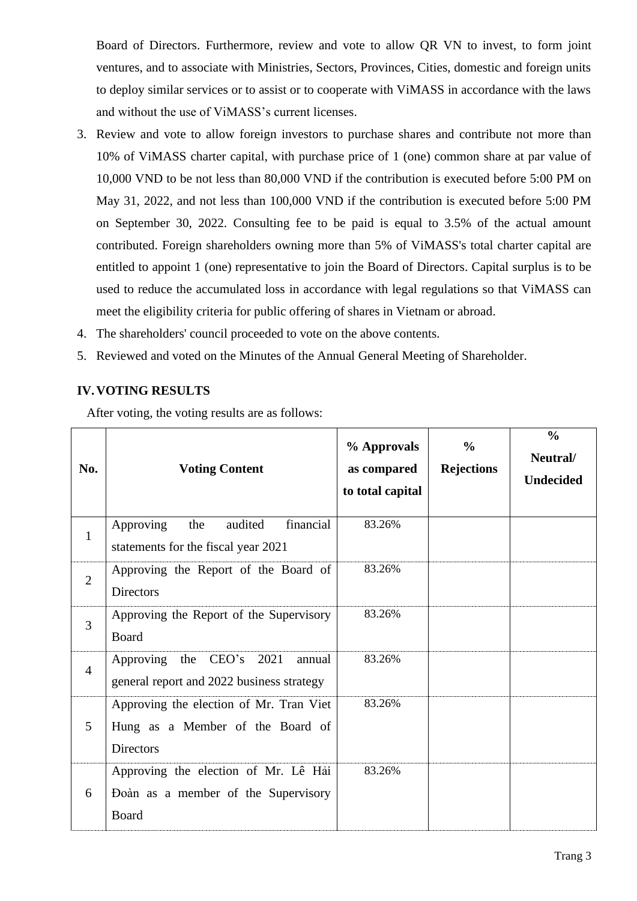Board of Directors. Furthermore, review and vote to allow QR VN to invest, to form joint ventures, and to associate with Ministries, Sectors, Provinces, Cities, domestic and foreign units to deploy similar services or to assist or to cooperate with ViMASS in accordance with the laws and without the use of ViMASS's current licenses.

- 3. Review and vote to allow foreign investors to purchase shares and contribute not more than 10% of ViMASS charter capital, with purchase price of 1 (one) common share at par value of 10,000 VND to be not less than 80,000 VND if the contribution is executed before 5:00 PM on May 31, 2022, and not less than 100,000 VND if the contribution is executed before 5:00 PM on September 30, 2022. Consulting fee to be paid is equal to 3.5% of the actual amount contributed. Foreign shareholders owning more than 5% of ViMASS's total charter capital are entitled to appoint 1 (one) representative to join the Board of Directors. Capital surplus is to be used to reduce the accumulated loss in accordance with legal regulations so that ViMASS can meet the eligibility criteria for public offering of shares in Vietnam or abroad.
- 4. The shareholders' council proceeded to vote on the above contents.
- 5. Reviewed and voted on the Minutes of the Annual General Meeting of Shareholder.

### **IV.VOTING RESULTS**

After voting, the voting results are as follows:

| No.            | <b>Voting Content</b>                                                                           | % Approvals<br>as compared<br>to total capital | $\frac{0}{0}$<br><b>Rejections</b> | $\frac{0}{0}$<br>Neutral/<br><b>Undecided</b> |
|----------------|-------------------------------------------------------------------------------------------------|------------------------------------------------|------------------------------------|-----------------------------------------------|
| $\mathbf{1}$   | Approving<br>audited<br>financial<br>the<br>statements for the fiscal year 2021                 | 83.26%                                         |                                    |                                               |
| $\overline{2}$ | Approving the Report of the Board of<br><b>Directors</b>                                        | 83.26%                                         |                                    |                                               |
| 3              | Approving the Report of the Supervisory<br>Board                                                | 83.26%                                         |                                    |                                               |
| $\overline{4}$ | CEO's<br>2021<br>Approving<br>the<br>annual<br>general report and 2022 business strategy        | 83.26%                                         |                                    |                                               |
| 5              | Approving the election of Mr. Tran Viet<br>Hung as a Member of the Board of<br><b>Directors</b> | 83.26%                                         |                                    |                                               |
| 6              | Approving the election of Mr. Lê Hải<br>Doàn as a member of the Supervisory<br>Board            | 83.26%                                         |                                    |                                               |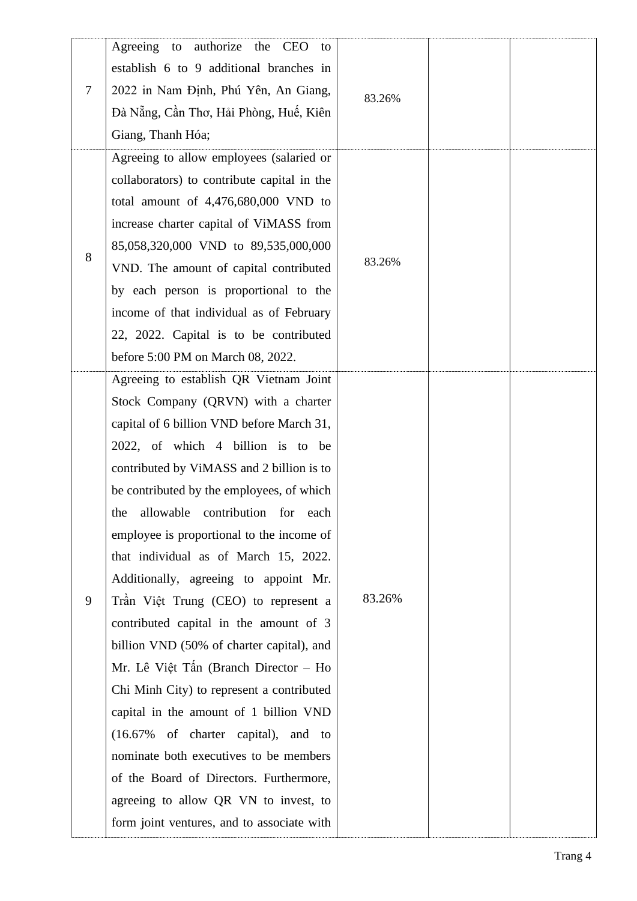|   | authorize<br>Agreeing to<br>the CEO<br>to   |        |  |
|---|---------------------------------------------|--------|--|
| 7 | establish 6 to 9 additional branches in     |        |  |
|   | 2022 in Nam Định, Phú Yên, An Giang,        | 83.26% |  |
|   | Đà Nẵng, Cần Thơ, Hải Phòng, Huế, Kiên      |        |  |
|   | Giang, Thanh Hóa;                           |        |  |
|   | Agreeing to allow employees (salaried or    |        |  |
|   | collaborators) to contribute capital in the |        |  |
|   | total amount of 4,476,680,000 VND to        |        |  |
|   | increase charter capital of ViMASS from     |        |  |
| 8 | 85,058,320,000 VND to 89,535,000,000        |        |  |
|   | VND. The amount of capital contributed      | 83.26% |  |
|   | by each person is proportional to the       |        |  |
|   | income of that individual as of February    |        |  |
|   | 22, 2022. Capital is to be contributed      |        |  |
|   | before 5:00 PM on March 08, 2022.           |        |  |
|   | Agreeing to establish QR Vietnam Joint      |        |  |
|   | Stock Company (QRVN) with a charter         |        |  |
|   | capital of 6 billion VND before March 31,   |        |  |
|   | 2022, of which 4 billion is to be           |        |  |
|   | contributed by ViMASS and 2 billion is to   |        |  |
|   | be contributed by the employees, of which   |        |  |
|   | the allowable contribution for each         |        |  |
|   | employee is proportional to the income of   |        |  |
|   | that individual as of March 15, 2022.       | 83.26% |  |
|   | Additionally, agreeing to appoint Mr.       |        |  |
| 9 | Trần Việt Trung (CEO) to represent a        |        |  |
|   | contributed capital in the amount of 3      |        |  |
|   | billion VND (50% of charter capital), and   |        |  |
|   | Mr. Lê Việt Tấn (Branch Director - Ho       |        |  |
|   | Chi Minh City) to represent a contributed   |        |  |
|   | capital in the amount of 1 billion VND      |        |  |
|   | (16.67% of charter capital), and to         |        |  |
|   | nominate both executives to be members      |        |  |
|   | of the Board of Directors. Furthermore,     |        |  |
|   | agreeing to allow QR VN to invest, to       |        |  |
|   | form joint ventures, and to associate with  |        |  |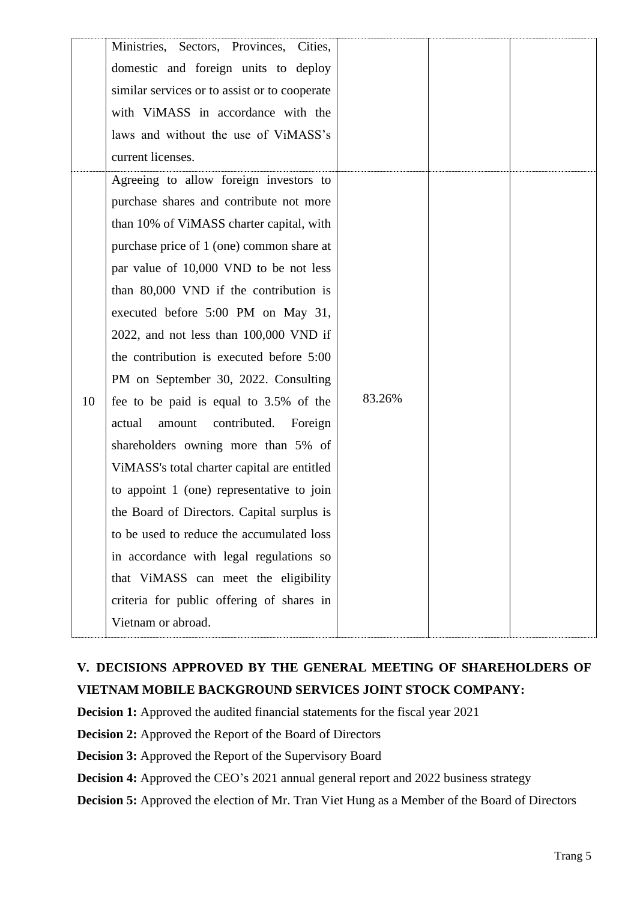|    | Ministries, Sectors, Provinces, Cities,<br>domestic and foreign units to deploy<br>similar services or to assist or to cooperate<br>with ViMASS in accordance with the<br>laws and without the use of ViMASS's<br>current licenses.                                                                                                                                                                                                                                                                                                                                                                                                                                                                                                                                                                                                                                                                                  |        |  |
|----|----------------------------------------------------------------------------------------------------------------------------------------------------------------------------------------------------------------------------------------------------------------------------------------------------------------------------------------------------------------------------------------------------------------------------------------------------------------------------------------------------------------------------------------------------------------------------------------------------------------------------------------------------------------------------------------------------------------------------------------------------------------------------------------------------------------------------------------------------------------------------------------------------------------------|--------|--|
| 10 | Agreeing to allow foreign investors to<br>purchase shares and contribute not more<br>than 10% of ViMASS charter capital, with<br>purchase price of 1 (one) common share at<br>par value of 10,000 VND to be not less<br>than 80,000 VND if the contribution is<br>executed before 5:00 PM on May 31,<br>$2022$ , and not less than $100,000$ VND if<br>the contribution is executed before 5:00<br>PM on September 30, 2022. Consulting<br>fee to be paid is equal to 3.5% of the<br>contributed.<br>actual<br>amount<br>Foreign<br>shareholders owning more than 5% of<br>ViMASS's total charter capital are entitled<br>to appoint 1 (one) representative to join<br>the Board of Directors. Capital surplus is<br>to be used to reduce the accumulated loss<br>in accordance with legal regulations so<br>that ViMASS can meet the eligibility<br>criteria for public offering of shares in<br>Vietnam or abroad. | 83.26% |  |

## **V. DECISIONS APPROVED BY THE GENERAL MEETING OF SHAREHOLDERS OF VIETNAM MOBILE BACKGROUND SERVICES JOINT STOCK COMPANY:**

**Decision 1:** Approved the audited financial statements for the fiscal year 2021

**Decision 2:** Approved the Report of the Board of Directors

**Decision 3:** Approved the Report of the Supervisory Board

**Decision 4:** Approved the CEO's 2021 annual general report and 2022 business strategy

**Decision 5:** Approved the election of Mr. Tran Viet Hung as a Member of the Board of Directors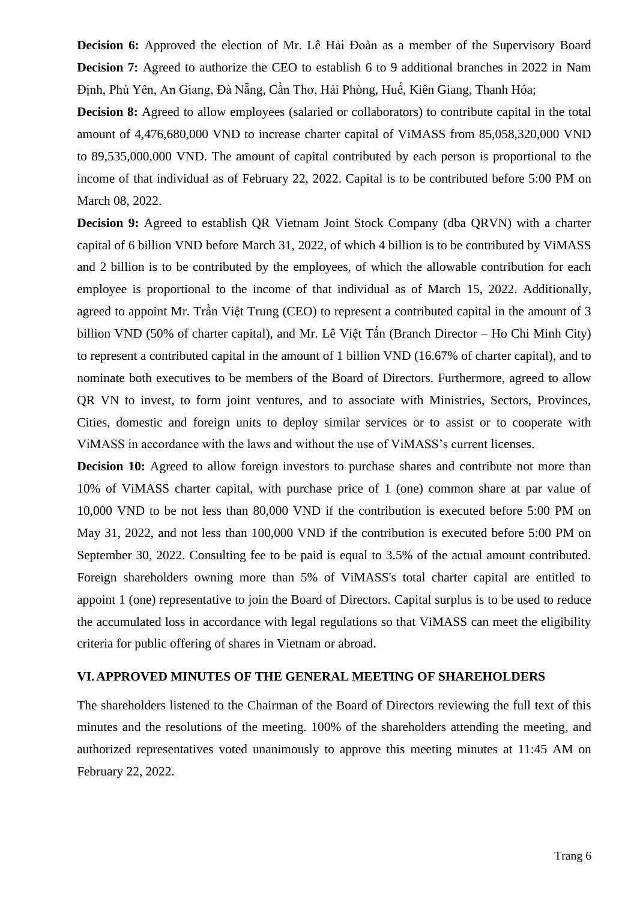**Decision 6:** Approved the election of Mr. Lê Hải Đoàn as a member of the Supervisory Board **Decision 7:** Agreed to authorize the CEO to establish 6 to 9 additional branches in 2022 in Nam Định, Phú Yên, An Giang, Đà Nẵng, Cần Thơ, Hải Phòng, Huế, Kiên Giang, Thanh Hóa;

**Decision 8:** Agreed to allow employees (salaried or collaborators) to contribute capital in the total amount of 4,476,680,000 VND to increase charter capital of ViMASS from 85,058,320,000 VND to 89,535,000,000 VND. The amount of capital contributed by each person is proportional to the income of that individual as of February 22, 2022. Capital is to be contributed before 5:00 PM on March 08, 2022.

**Decision 9:** Agreed to establish QR Vietnam Joint Stock Company (dba QRVN) with a charter capital of 6 billion VND before March 31, 2022, of which 4 billion is to be contributed by ViMASS and 2 billion is to be contributed by the employees, of which the allowable contribution for each employee is proportional to the income of that individual as of March 15, 2022. Additionally, agreed to appoint Mr. Trần Việt Trung (CEO) to represent a contributed capital in the amount of 3 billion VND (50% of charter capital), and Mr. Lê Việt Tấn (Branch Director – Ho Chi Minh City) to represent a contributed capital in the amount of 1 billion VND (16.67% of charter capital), and to nominate both executives to be members of the Board of Directors. Furthermore, agreed to allow QR VN to invest, to form joint ventures, and to associate with Ministries, Sectors, Provinces, Cities, domestic and foreign units to deploy similar services or to assist or to cooperate with ViMASS in accordance with the laws and without the use of ViMASS's current licenses.

**Decision 10:** Agreed to allow foreign investors to purchase shares and contribute not more than 10% of ViMASS charter capital, with purchase price of 1 (one) common share at par value of 10,000 VND to be not less than 80,000 VND if the contribution is executed before 5:00 PM on May 31, 2022, and not less than 100,000 VND if the contribution is executed before 5:00 PM on September 30, 2022. Consulting fee to be paid is equal to 3.5% of the actual amount contributed. Foreign shareholders owning more than 5% of ViMASS's total charter capital are entitled to appoint 1 (one) representative to join the Board of Directors. Capital surplus is to be used to reduce the accumulated loss in accordance with legal regulations so that ViMASS can meet the eligibility criteria for public offering of shares in Vietnam or abroad.

#### **VI.APPROVED MINUTES OF THE GENERAL MEETING OF SHAREHOLDERS**

The shareholders listened to the Chairman of the Board of Directors reviewing the full text of this minutes and the resolutions of the meeting. 100% of the shareholders attending the meeting, and authorized representatives voted unanimously to approve this meeting minutes at 11:45 AM on February 22, 2022.